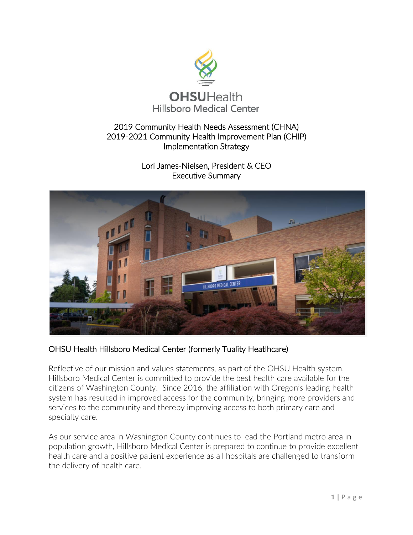

# 2019 Community Health Needs Assessment (CHNA) 2019-2021 Community Health Improvement Plan (CHIP) Implementation Strategy

Lori James-Nielsen, President & CEO Executive Summary



OHSU Health Hillsboro Medical Center (formerly Tuality Heatlhcare)

Reflective of our mission and values statements, as part of the OHSU Health system, Hillsboro Medical Center is committed to provide the best health care available for the citizens of Washington County. Since 2016, the affiliation with Oregon's leading health system has resulted in improved access for the community, bringing more providers and services to the community and thereby improving access to both primary care and specialty care.

As our service area in Washington County continues to lead the Portland metro area in population growth, Hillsboro Medical Center is prepared to continue to provide excellent health care and a positive patient experience as all hospitals are challenged to transform the delivery of health care.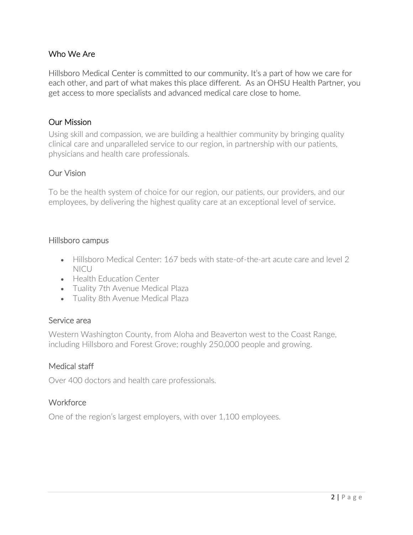# Who We Are

Hillsboro Medical Center is committed to our community. It's a part of how we care for each other, and part of what makes this place different. As an OHSU Health Partner, you get access to more specialists and advanced medical care close to home.

### Our Mission

Using skill and compassion, we are building a healthier community by bringing quality clinical care and unparalleled service to our region, in partnership with our patients, physicians and health care professionals.

## Our Vision

To be the health system of choice for our region, our patients, our providers, and our employees, by delivering the highest quality care at an exceptional level of service.

### Hillsboro campus

- Hillsboro Medical Center: 167 beds with state-of-the-art acute care and level 2 NICU
- Health Education Center
- Tuality 7th Avenue Medical Plaza
- Tuality 8th Avenue Medical Plaza

### Service area

Western Washington County, from Aloha and Beaverton west to the Coast Range, including Hillsboro and Forest Grove; roughly 250,000 people and growing.

### Medical staff

Over 400 doctors and health care professionals.

## **Workforce**

One of the region's largest employers, with over 1,100 employees.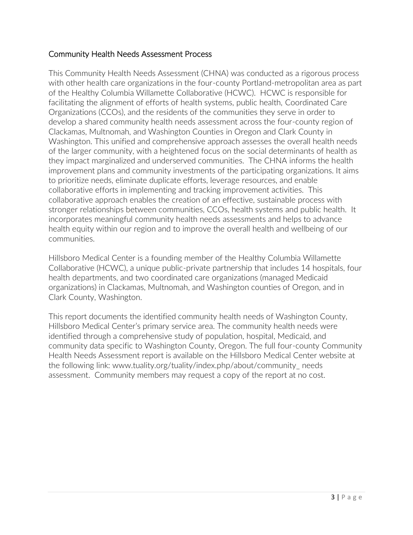## Community Health Needs Assessment Process

This Community Health Needs Assessment (CHNA) was conducted as a rigorous process with other health care organizations in the four-county Portland-metropolitan area as part of the Healthy Columbia Willamette Collaborative (HCWC). HCWC is responsible for facilitating the alignment of efforts of health systems, public health, Coordinated Care Organizations (CCOs), and the residents of the communities they serve in order to develop a shared community health needs assessment across the four-county region of Clackamas, Multnomah, and Washington Counties in Oregon and Clark County in Washington. This unified and comprehensive approach assesses the overall health needs of the larger community, with a heightened focus on the social determinants of health as they impact marginalized and underserved communities. The CHNA informs the health improvement plans and community investments of the participating organizations. It aims to prioritize needs, eliminate duplicate efforts, leverage resources, and enable collaborative efforts in implementing and tracking improvement activities. This collaborative approach enables the creation of an effective, sustainable process with stronger relationships between communities, CCOs, health systems and public health. It incorporates meaningful community health needs assessments and helps to advance health equity within our region and to improve the overall health and wellbeing of our communities.

Hillsboro Medical Center is a founding member of the Healthy Columbia Willamette Collaborative (HCWC), a unique public-private partnership that includes 14 hospitals, four health departments, and two coordinated care organizations (managed Medicaid organizations) in Clackamas, Multnomah, and Washington counties of Oregon, and in Clark County, Washington.

This report documents the identified community health needs of Washington County, Hillsboro Medical Center's primary service area. The community health needs were identified through a comprehensive study of population, hospital, Medicaid, and community data specific to Washington County, Oregon. The full four-county Community Health Needs Assessment report is available on the Hillsboro Medical Center website at the following link: www.tuality.org/tuality/index.php/about/community\_ needs assessment. Community members may request a copy of the report at no cost.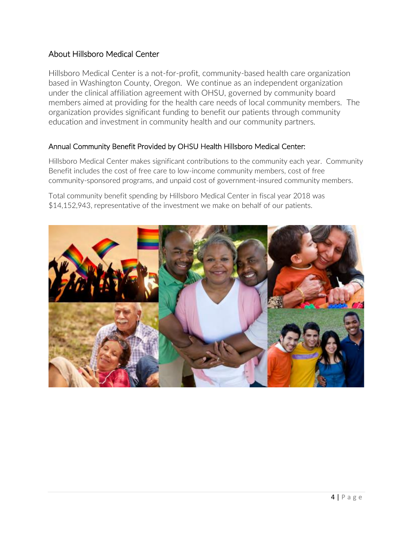# About Hillsboro Medical Center

Hillsboro Medical Center is a not-for-profit, community-based health care organization based in Washington County, Oregon. We continue as an independent organization under the clinical affiliation agreement with OHSU, governed by community board members aimed at providing for the health care needs of local community members. The organization provides significant funding to benefit our patients through community education and investment in community health and our community partners.

## Annual Community Benefit Provided by OHSU Health Hillsboro Medical Center:

Hillsboro Medical Center makes significant contributions to the community each year. Community Benefit includes the cost of free care to low-income community members, cost of free community-sponsored programs, and unpaid cost of government-insured community members.

Total community benefit spending by Hillsboro Medical Center in fiscal year 2018 was \$14,152,943, representative of the investment we make on behalf of our patients.

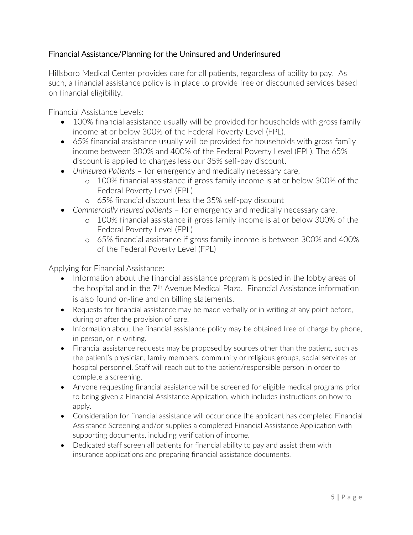# Financial Assistance/Planning for the Uninsured and Underinsured

Hillsboro Medical Center provides care for all patients, regardless of ability to pay. As such, a financial assistance policy is in place to provide free or discounted services based on financial eligibility.

Financial Assistance Levels:

- 100% financial assistance usually will be provided for households with gross family income at or below 300% of the Federal Poverty Level (FPL).
- 65% financial assistance usually will be provided for households with gross family income between 300% and 400% of the Federal Poverty Level (FPL). The 65% discount is applied to charges less our 35% self-pay discount.
- *Uninsured Patients* for emergency and medically necessary care,
	- o 100% financial assistance if gross family income is at or below 300% of the Federal Poverty Level (FPL)
	- o 65% financial discount less the 35% self-pay discount
- *Commercially insured patients* for emergency and medically necessary care,
	- o 100% financial assistance if gross family income is at or below 300% of the Federal Poverty Level (FPL)
	- o 65% financial assistance if gross family income is between 300% and 400% of the Federal Poverty Level (FPL)

Applying for Financial Assistance:

- Information about the financial assistance program is posted in the lobby areas of the hospital and in the 7<sup>th</sup> Avenue Medical Plaza. Financial Assistance information is also found on-line and on billing statements.
- Requests for financial assistance may be made verbally or in writing at any point before, during or after the provision of care.
- Information about the financial assistance policy may be obtained free of charge by phone, in person, or in writing.
- Financial assistance requests may be proposed by sources other than the patient, such as the patient's physician, family members, community or religious groups, social services or hospital personnel. Staff will reach out to the patient/responsible person in order to complete a screening.
- Anyone requesting financial assistance will be screened for eligible medical programs prior to being given a Financial Assistance Application, which includes instructions on how to apply.
- Consideration for financial assistance will occur once the applicant has completed Financial Assistance Screening and/or supplies a completed Financial Assistance Application with supporting documents, including verification of income.
- Dedicated staff screen all patients for financial ability to pay and assist them with insurance applications and preparing financial assistance documents.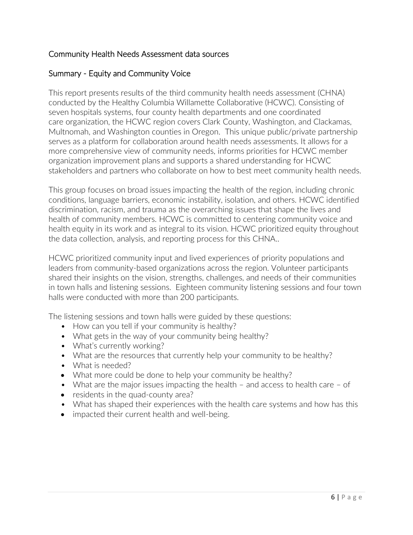# Community Health Needs Assessment data sources

# Summary - Equity and Community Voice

This report presents results of the third community health needs assessment (CHNA) conducted by the Healthy Columbia Willamette Collaborative (HCWC). Consisting of seven hospitals systems, four county health departments and one coordinated care organization, the HCWC region covers Clark County, Washington, and Clackamas, Multnomah, and Washington counties in Oregon. This unique public/private partnership serves as a platform for collaboration around health needs assessments. It allows for a more comprehensive view of community needs, informs priorities for HCWC member organization improvement plans and supports a shared understanding for HCWC stakeholders and partners who collaborate on how to best meet community health needs.

This group focuses on broad issues impacting the health of the region, including chronic conditions, language barriers, economic instability, isolation, and others. HCWC identified discrimination, racism, and trauma as the overarching issues that shape the lives and health of community members. HCWC is committed to centering community voice and health equity in its work and as integral to its vision. HCWC prioritized equity throughout the data collection, analysis, and reporting process for this CHNA..

HCWC prioritized community input and lived experiences of priority populations and leaders from community-based organizations across the region. Volunteer participants shared their insights on the vision, strengths, challenges, and needs of their communities in town halls and listening sessions. Eighteen community listening sessions and four town halls were conducted with more than 200 participants.

The listening sessions and town halls were guided by these questions:

- How can you tell if your community is healthy?
- What gets in the way of your community being healthy?
- What's currently working?
- What are the resources that currently help your community to be healthy?
- What is needed?
- What more could be done to help your community be healthy?
- What are the major issues impacting the health and access to health care of
- residents in the quad-county area?
- What has shaped their experiences with the health care systems and how has this
- impacted their current health and well-being.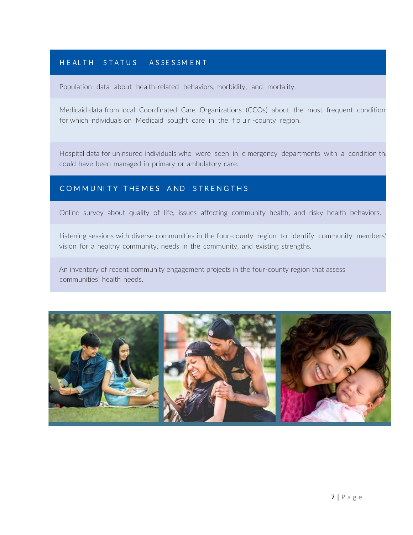# H E AL TH S T A T U S A S S E S S M E N T

Population data about health-related behaviors, morbidity, and mortality.

Medicaid data from local Coordinated Care Organizations (CCOs) about the most frequent condition: for which individuals on Medicaid sought care in the f o u r -county region.

Hospital data for uninsured individuals who were seen in e mergency departments with a condition that could have been managed in primary or ambulatory care.

## COMMUNITY THEMES AND STRENGTHS

Online survey about quality of life, issues affecting community health, and risky health behaviors.

Listening sessions with diverse communities in the four-county region to identify community members' vision for a healthy community, needs in the community, and existing strengths.

An inventory of recent community engagement projects in the four-county region that assess communities' health needs.

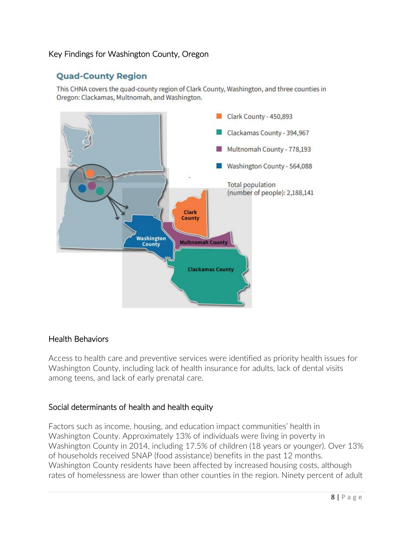# Key Findings for Washington County, Oregon

# **Quad-County Region**

This CHNA covers the quad-county region of Clark County, Washington, and three counties in Oregon: Clackamas, Multnomah, and Washington.



### Health Behaviors

Access to health care and preventive services were identified as priority health issues for Washington County, including lack of health insurance for adults, lack of dental visits among teens, and lack of early prenatal care.

## Social determinants of health and health equity

Factors such as income, housing, and education impact communities' health in Washington County. Approximately 13% of individuals were living in poverty in Washington County in 2014, including 17.5% of children (18 years or younger). Over 13% of households received SNAP (food assistance) benefits in the past 12 months. Washington County residents have been affected by increased housing costs, although rates of homelessness are lower than other counties in the region. Ninety percent of adult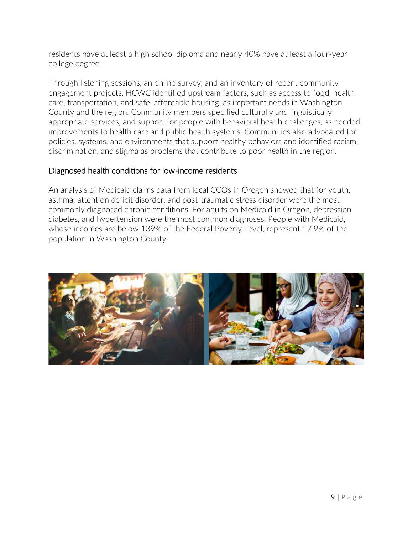residents have at least a high school diploma and nearly 40% have at least a four-year college degree.

Through listening sessions, an online survey, and an inventory of recent community engagement projects, HCWC identified upstream factors, such as access to food, health care, transportation, and safe, affordable housing, as important needs in Washington County and the region. Community members specified culturally and linguistically appropriate services, and support for people with behavioral health challenges, as needed improvements to health care and public health systems. Communities also advocated for policies, systems, and environments that support healthy behaviors and identified racism, discrimination, and stigma as problems that contribute to poor health in the region.

## Diagnosed health conditions for low-income residents

An analysis of Medicaid claims data from local CCOs in Oregon showed that for youth, asthma, attention deficit disorder, and post-traumatic stress disorder were the most commonly diagnosed chronic conditions. For adults on Medicaid in Oregon, depression, diabetes, and hypertension were the most common diagnoses. People with Medicaid, whose incomes are below 139% of the Federal Poverty Level, represent 17.9% of the population in Washington County.

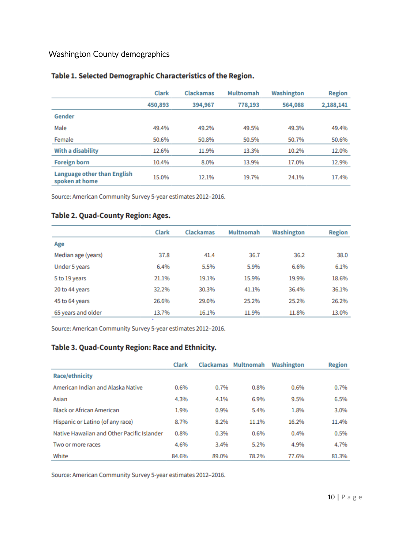# Washington County demographics

|                                               | <b>Clark</b> | Clackamas | Multnomah | Washington | <b>Region</b> |  |
|-----------------------------------------------|--------------|-----------|-----------|------------|---------------|--|
|                                               | 450,893      | 394,967   | 778,193   | 564,088    | 2,188,141     |  |
| Gender                                        |              |           |           |            |               |  |
| Male                                          | 49.4%        | 49.2%     | 49.5%     | 49.3%      | 49.4%         |  |
| Female                                        | 50.6%        | 50.8%     | 50.5%     | 50.7%      | 50.6%         |  |
| With a disability                             | 12.6%        | 11.9%     | 13.3%     | 10.2%      | 12.0%         |  |
| <b>Foreign born</b>                           | 10.4%        | 8.0%      | 13.9%     | 17.0%      | 12.9%         |  |
| Language other than English<br>spoken at home | 15.0%        | 12.1%     | 19.7%     | 24.1%      | 17.4%         |  |

### Table 1. Selected Demographic Characteristics of the Region.

Source: American Community Survey 5-year estimates 2012-2016.

#### Table 2. Quad-County Region: Ages.

|                    | <b>Clark</b> | <b>Clackamas</b> | <b>Multnomah</b> | Washington | <b>Region</b> |
|--------------------|--------------|------------------|------------------|------------|---------------|
| Age                |              |                  |                  |            |               |
| Median age (years) | 37.8         | 41.4             | 36.7             | 36.2       | 38.0          |
| Under 5 years      | 6.4%         | 5.5%             | 5.9%             | 6.6%       | 6.1%          |
| 5 to 19 years      | 21.1%        | 19.1%            | 15.9%            | 19.9%      | 18.6%         |
| 20 to 44 years     | 32.2%        | 30.3%            | 41.1%            | 36.4%      | 36.1%         |
| 45 to 64 years     | 26.6%        | 29.0%            | 25.2%            | 25.2%      | 26.2%         |
| 65 years and older | 13.7%        | 16.1%            | 11.9%            | 11.8%      | 13.0%         |

Source: American Community Survey 5-year estimates 2012-2016.

### Table 3. Quad-County Region: Race and Ethnicity.

|                                            | <b>Clark</b> |       | Clackamas Multnomah | Washington | <b>Region</b> |
|--------------------------------------------|--------------|-------|---------------------|------------|---------------|
| Race/ethnicity                             |              |       |                     |            |               |
| American Indian and Alaska Native          | 0.6%         | 0.7%  | 0.8%                | 0.6%       | 0.7%          |
| Asian                                      | 4.3%         | 4.1%  | 6.9%                | 9.5%       | 6.5%          |
| <b>Black or African American</b>           | 1.9%         | 0.9%  | 5.4%                | 1.8%       | 3.0%          |
| Hispanic or Latino (of any race)           | 8.7%         | 8.2%  | 11.1%               | 16.2%      | 11.4%         |
| Native Hawaiian and Other Pacific Islander | 0.8%         | 0.3%  | 0.6%                | 0.4%       | 0.5%          |
| Two or more races                          | 4.6%         | 3.4%  | 5.2%                | 4.9%       | 4.7%          |
| White                                      | 84.6%        | 89.0% | 78.2%               | 77.6%      | 81.3%         |

Source: American Community Survey 5-year estimates 2012-2016.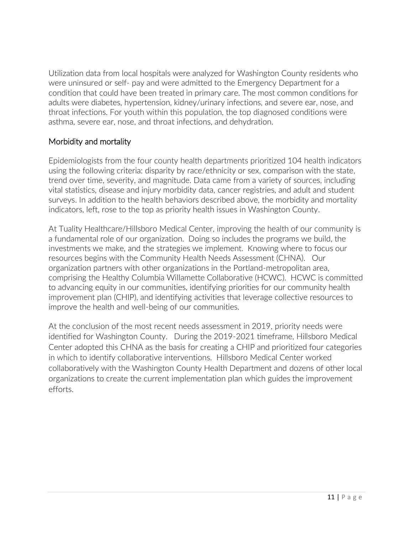Utilization data from local hospitals were analyzed for Washington County residents who were uninsured or self- pay and were admitted to the Emergency Department for a condition that could have been treated in primary care. The most common conditions for adults were diabetes, hypertension, kidney/urinary infections, and severe ear, nose, and throat infections. For youth within this population, the top diagnosed conditions were asthma, severe ear, nose, and throat infections, and dehydration.

# Morbidity and mortality

Epidemiologists from the four county health departments prioritized 104 health indicators using the following criteria: disparity by race/ethnicity or sex, comparison with the state, trend over time, severity, and magnitude. Data came from a variety of sources, including vital statistics, disease and injury morbidity data, cancer registries, and adult and student surveys. In addition to the health behaviors described above, the morbidity and mortality indicators, left, rose to the top as priority health issues in Washington County.

At Tuality Healthcare/Hillsboro Medical Center, improving the health of our community is a fundamental role of our organization. Doing so includes the programs we build, the investments we make, and the strategies we implement. Knowing where to focus our resources begins with the Community Health Needs Assessment (CHNA). Our organization partners with other organizations in the Portland-metropolitan area, comprising the Healthy Columbia Willamette Collaborative (HCWC). HCWC is committed to advancing equity in our communities, identifying priorities for our community health improvement plan (CHIP), and identifying activities that leverage collective resources to improve the health and well-being of our communities.

At the conclusion of the most recent needs assessment in 2019, priority needs were identified for Washington County. During the 2019-2021 timeframe, Hillsboro Medical Center adopted this CHNA as the basis for creating a CHIP and prioritized four categories in which to identify collaborative interventions. Hillsboro Medical Center worked collaboratively with the Washington County Health Department and dozens of other local organizations to create the current implementation plan which guides the improvement efforts.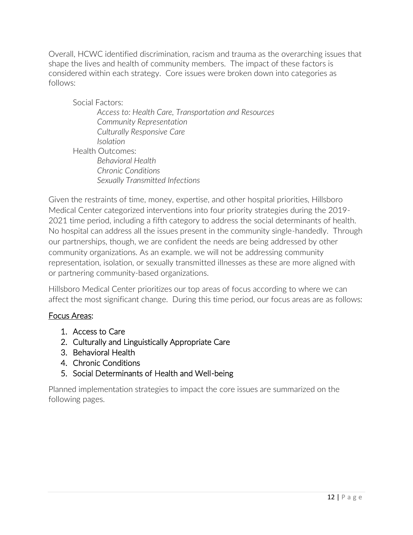Overall, HCWC identified discrimination, racism and trauma as the overarching issues that shape the lives and health of community members. The impact of these factors is considered within each strategy. Core issues were broken down into categories as follows:

Social Factors: *Access to: Health Care, Transportation and Resources Community Representation Culturally Responsive Care Isolation* Health Outcomes: *Behavioral Health Chronic Conditions Sexually Transmitted Infections*

Given the restraints of time, money, expertise, and other hospital priorities, Hillsboro Medical Center categorized interventions into four priority strategies during the 2019- 2021 time period, including a fifth category to address the social determinants of health. No hospital can address all the issues present in the community single-handedly. Through our partnerships, though, we are confident the needs are being addressed by other community organizations. As an example. we will not be addressing community representation, isolation, or sexually transmitted illnesses as these are more aligned with or partnering community-based organizations.

Hillsboro Medical Center prioritizes our top areas of focus according to where we can affect the most significant change. During this time period, our focus areas are as follows:

## Focus Areas:

- 1. Access to Care
- 2. Culturally and Linguistically Appropriate Care
- 3. Behavioral Health
- 4. Chronic Conditions
- 5. Social Determinants of Health and Well-being

Planned implementation strategies to impact the core issues are summarized on the following pages.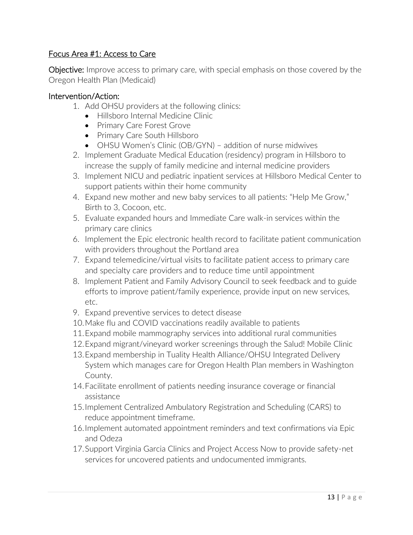# Focus Area #1: Access to Care

**Objective:** Improve access to primary care, with special emphasis on those covered by the Oregon Health Plan (Medicaid)

- 1. Add OHSU providers at the following clinics:
	- Hillsboro Internal Medicine Clinic
	- Primary Care Forest Grove
	- Primary Care South Hillsboro
	- OHSU Women's Clinic (OB/GYN) addition of nurse midwives
- 2. Implement Graduate Medical Education (residency) program in Hillsboro to increase the supply of family medicine and internal medicine providers
- 3. Implement NICU and pediatric inpatient services at Hillsboro Medical Center to support patients within their home community
- 4. Expand new mother and new baby services to all patients: "Help Me Grow," Birth to 3, Cocoon, etc.
- 5. Evaluate expanded hours and Immediate Care walk-in services within the primary care clinics
- 6. Implement the Epic electronic health record to facilitate patient communication with providers throughout the Portland area
- 7. Expand telemedicine/virtual visits to facilitate patient access to primary care and specialty care providers and to reduce time until appointment
- 8. Implement Patient and Family Advisory Council to seek feedback and to guide efforts to improve patient/family experience, provide input on new services, etc.
- 9. Expand preventive services to detect disease
- 10.Make flu and COVID vaccinations readily available to patients
- 11.Expand mobile mammography services into additional rural communities
- 12.Expand migrant/vineyard worker screenings through the Salud! Mobile Clinic
- 13.Expand membership in Tuality Health Alliance/OHSU Integrated Delivery System which manages care for Oregon Health Plan members in Washington County.
- 14.Facilitate enrollment of patients needing insurance coverage or financial assistance
- 15.Implement Centralized Ambulatory Registration and Scheduling (CARS) to reduce appointment timeframe.
- 16.Implement automated appointment reminders and text confirmations via Epic and Odeza
- 17.Support Virginia Garcia Clinics and Project Access Now to provide safety-net services for uncovered patients and undocumented immigrants.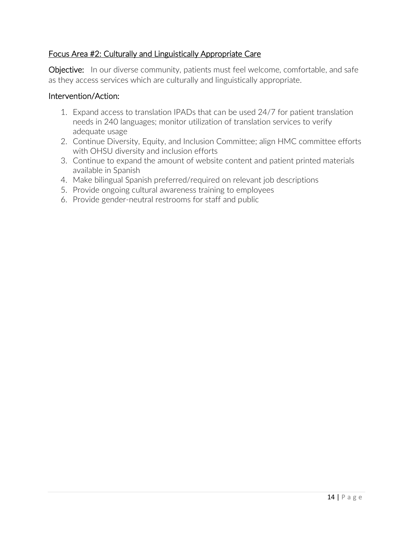## Focus Area #2: Culturally and Linguistically Appropriate Care

**Objective:** In our diverse community, patients must feel welcome, comfortable, and safe as they access services which are culturally and linguistically appropriate.

- 1. Expand access to translation IPADs that can be used 24/7 for patient translation needs in 240 languages; monitor utilization of translation services to verify adequate usage
- 2. Continue Diversity, Equity, and Inclusion Committee; align HMC committee efforts with OHSU diversity and inclusion efforts
- 3. Continue to expand the amount of website content and patient printed materials available in Spanish
- 4. Make bilingual Spanish preferred/required on relevant job descriptions
- 5. Provide ongoing cultural awareness training to employees
- 6. Provide gender-neutral restrooms for staff and public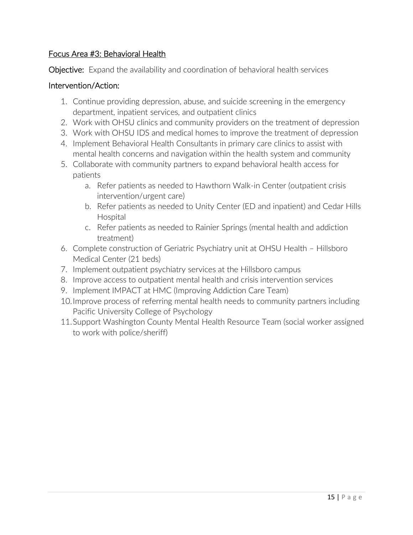# Focus Area #3: Behavioral Health

**Objective:** Expand the availability and coordination of behavioral health services

- 1. Continue providing depression, abuse, and suicide screening in the emergency department, inpatient services, and outpatient clinics
- 2. Work with OHSU clinics and community providers on the treatment of depression
- 3. Work with OHSU IDS and medical homes to improve the treatment of depression
- 4. Implement Behavioral Health Consultants in primary care clinics to assist with mental health concerns and navigation within the health system and community
- 5. Collaborate with community partners to expand behavioral health access for patients
	- a. Refer patients as needed to Hawthorn Walk-in Center (outpatient crisis intervention/urgent care)
	- b. Refer patients as needed to Unity Center (ED and inpatient) and Cedar Hills Hospital
	- c. Refer patients as needed to Rainier Springs (mental health and addiction treatment)
- 6. Complete construction of Geriatric Psychiatry unit at OHSU Health Hillsboro Medical Center (21 beds)
- 7. Implement outpatient psychiatry services at the Hillsboro campus
- 8. Improve access to outpatient mental health and crisis intervention services
- 9. Implement IMPACT at HMC (Improving Addiction Care Team)
- 10.Improve process of referring mental health needs to community partners including Pacific University College of Psychology
- 11.Support Washington County Mental Health Resource Team (social worker assigned to work with police/sheriff)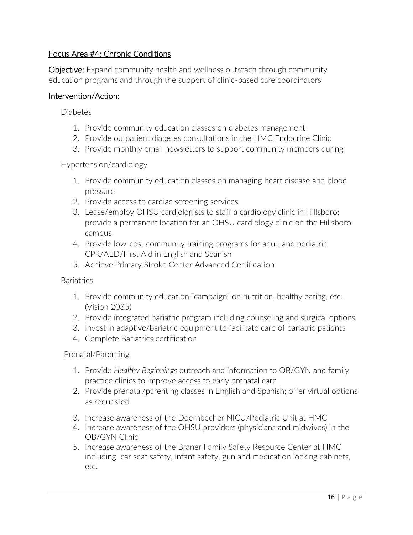# Focus Area #4: Chronic Conditions

**Objective:** Expand community health and wellness outreach through community education programs and through the support of clinic-based care coordinators

### Intervention/Action:

**Diabetes** 

- 1. Provide community education classes on diabetes management
- 2. Provide outpatient diabetes consultations in the HMC Endocrine Clinic
- 3. Provide monthly email newsletters to support community members during

### Hypertension/cardiology

- 1. Provide community education classes on managing heart disease and blood pressure
- 2. Provide access to cardiac screening services
- 3. Lease/employ OHSU cardiologists to staff a cardiology clinic in Hillsboro; provide a permanent location for an OHSU cardiology clinic on the Hillsboro campus
- 4. Provide low-cost community training programs for adult and pediatric CPR/AED/First Aid in English and Spanish
- 5. Achieve Primary Stroke Center Advanced Certification

**Bariatrics** 

- 1. Provide community education "campaign" on nutrition, healthy eating, etc. (Vision 2035)
- 2. Provide integrated bariatric program including counseling and surgical options
- 3. Invest in adaptive/bariatric equipment to facilitate care of bariatric patients
- 4. Complete Bariatrics certification

Prenatal/Parenting

- 1. Provide *Healthy Beginnings* outreach and information to OB/GYN and family practice clinics to improve access to early prenatal care
- 2. Provide prenatal/parenting classes in English and Spanish; offer virtual options as requested
- 3. Increase awareness of the Doernbecher NICU/Pediatric Unit at HMC
- 4. Increase awareness of the OHSU providers (physicians and midwives) in the OB/GYN Clinic
- 5. Increase awareness of the Braner Family Safety Resource Center at HMC including car seat safety, infant safety, gun and medication locking cabinets, etc.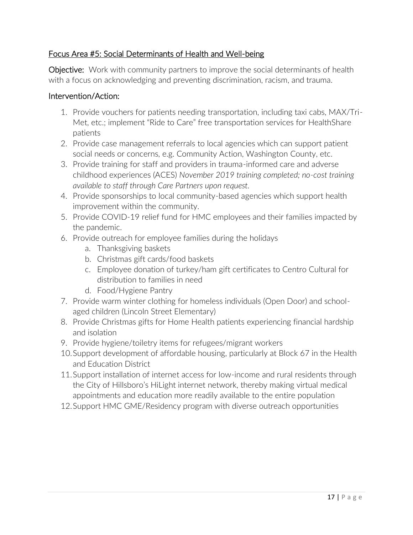# Focus Area #5: Social Determinants of Health and Well-being

**Objective:** Work with community partners to improve the social determinants of health with a focus on acknowledging and preventing discrimination, racism, and trauma.

- 1. Provide vouchers for patients needing transportation, including taxi cabs, MAX/Tri-Met, etc.; implement "Ride to Care" free transportation services for HealthShare patients
- 2. Provide case management referrals to local agencies which can support patient social needs or concerns, e.g. Community Action, Washington County, etc.
- 3. Provide training for staff and providers in trauma-informed care and adverse childhood experiences (ACES) *November 2019 training completed; no-cost training available to staff through Care Partners upon request.*
- 4. Provide sponsorships to local community-based agencies which support health improvement within the community.
- 5. Provide COVID-19 relief fund for HMC employees and their families impacted by the pandemic.
- 6. Provide outreach for employee families during the holidays
	- a. Thanksgiving baskets
	- b. Christmas gift cards/food baskets
	- c. Employee donation of turkey/ham gift certificates to Centro Cultural for distribution to families in need
	- d. Food/Hygiene Pantry
- 7. Provide warm winter clothing for homeless individuals (Open Door) and schoolaged children (Lincoln Street Elementary)
- 8. Provide Christmas gifts for Home Health patients experiencing financial hardship and isolation
- 9. Provide hygiene/toiletry items for refugees/migrant workers
- 10.Support development of affordable housing, particularly at Block 67 in the Health and Education District
- 11.Support installation of internet access for low-income and rural residents through the City of Hillsboro's HiLight internet network, thereby making virtual medical appointments and education more readily available to the entire population
- 12.Support HMC GME/Residency program with diverse outreach opportunities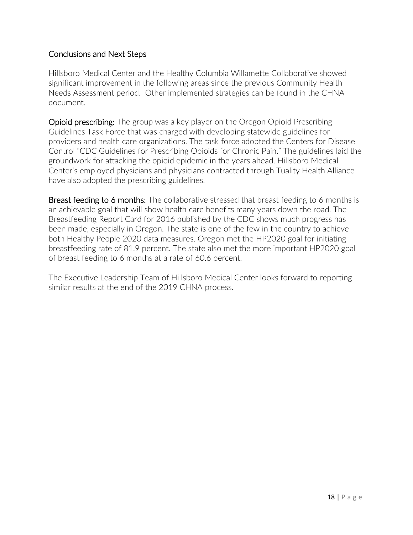# Conclusions and Next Steps

Hillsboro Medical Center and the Healthy Columbia Willamette Collaborative showed significant improvement in the following areas since the previous Community Health Needs Assessment period. Other implemented strategies can be found in the CHNA document.

Opioid prescribing: The group was a key player on the Oregon Opioid Prescribing Guidelines Task Force that was charged with developing statewide guidelines for providers and health care organizations. The task force adopted the Centers for Disease Control "CDC Guidelines for Prescribing Opioids for Chronic Pain." The guidelines laid the groundwork for attacking the opioid epidemic in the years ahead. Hillsboro Medical Center's employed physicians and physicians contracted through Tuality Health Alliance have also adopted the prescribing guidelines.

Breast feeding to 6 months: The collaborative stressed that breast feeding to 6 months is an achievable goal that will show health care benefits many years down the road. The Breastfeeding Report Card for 2016 published by the CDC shows much progress has been made, especially in Oregon. The state is one of the few in the country to achieve both Healthy People 2020 data measures. Oregon met the HP2020 goal for initiating breastfeeding rate of 81.9 percent. The state also met the more important HP2020 goal of breast feeding to 6 months at a rate of 60.6 percent.

The Executive Leadership Team of Hillsboro Medical Center looks forward to reporting similar results at the end of the 2019 CHNA process.